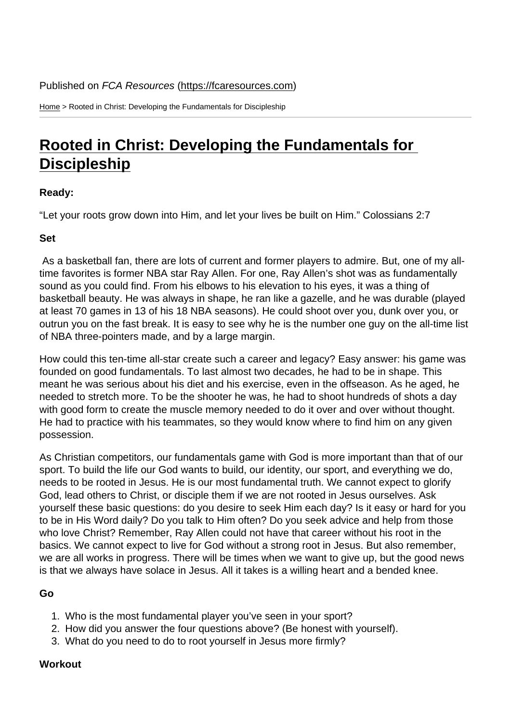Home > Rooted in Christ: Developing the Fundamentals for Discipleship

## [Roo](https://fcaresources.com/)ted in Christ: Developing the Fundamentals for **Discipleship**

[Ready:](https://fcaresources.com/devotional/rooted-christ-developing-fundamentals-discipleship) 

["Let your roots grow](https://fcaresources.com/devotional/rooted-christ-developing-fundamentals-discipleship) down into Him, and let your lives be built on Him." Colossians 2:7

Set

 As a basketball fan, there are lots of current and former players to admire. But, one of my alltime favorites is former NBA star Ray Allen. For one, Ray Allen's shot was as fundamentally sound as you could find. From his elbows to his elevation to his eyes, it was a thing of basketball beauty. He was always in shape, he ran like a gazelle, and he was durable (played at least 70 games in 13 of his 18 NBA seasons). He could shoot over you, dunk over you, or outrun you on the fast break. It is easy to see why he is the number one guy on the all-time list of NBA three-pointers made, and by a large margin.

How could this ten-time all-star create such a career and legacy? Easy answer: his game was founded on good fundamentals. To last almost two decades, he had to be in shape. This meant he was serious about his diet and his exercise, even in the offseason. As he aged, he needed to stretch more. To be the shooter he was, he had to shoot hundreds of shots a day with good form to create the muscle memory needed to do it over and over without thought. He had to practice with his teammates, so they would know where to find him on any given possession.

As Christian competitors, our fundamentals game with God is more important than that of our sport. To build the life our God wants to build, our identity, our sport, and everything we do, needs to be rooted in Jesus. He is our most fundamental truth. We cannot expect to glorify God, lead others to Christ, or disciple them if we are not rooted in Jesus ourselves. Ask yourself these basic questions: do you desire to seek Him each day? Is it easy or hard for you to be in His Word daily? Do you talk to Him often? Do you seek advice and help from those who love Christ? Remember, Ray Allen could not have that career without his root in the basics. We cannot expect to live for God without a strong root in Jesus. But also remember, we are all works in progress. There will be times when we want to give up, but the good news is that we always have solace in Jesus. All it takes is a willing heart and a bended knee.

Go

- 1. Who is the most fundamental player you've seen in your sport?
- 2. How did you answer the four questions above? (Be honest with yourself).
- 3. What do you need to do to root yourself in Jesus more firmly?

**Workout**